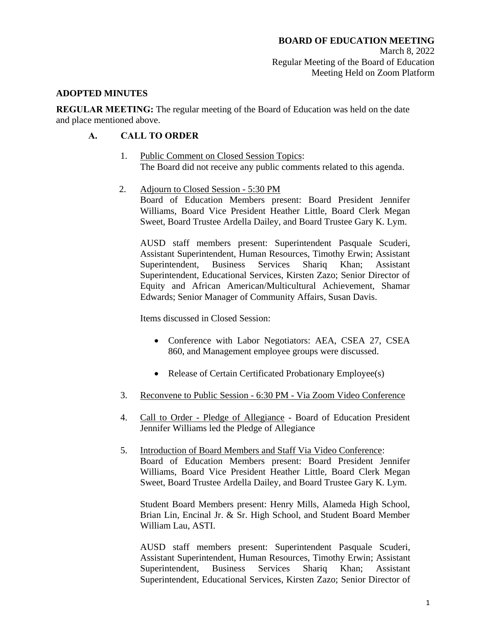#### **ADOPTED MINUTES**

**REGULAR MEETING:** The regular meeting of the Board of Education was held on the date and place mentioned above.

## **A. CALL TO ORDER**

- 1. Public Comment on Closed Session Topics: The Board did not receive any public comments related to this agenda.
- 2. Adjourn to Closed Session 5:30 PM Board of Education Members present: Board President Jennifer

Williams, Board Vice President Heather Little, Board Clerk Megan Sweet, Board Trustee Ardella Dailey, and Board Trustee Gary K. Lym.

AUSD staff members present: Superintendent Pasquale Scuderi, Assistant Superintendent, Human Resources, Timothy Erwin; Assistant Superintendent, Business Services Shariq Khan; Assistant Superintendent, Educational Services, Kirsten Zazo; Senior Director of Equity and African American/Multicultural Achievement, Shamar Edwards; Senior Manager of Community Affairs, Susan Davis.

Items discussed in Closed Session:

- Conference with Labor Negotiators: AEA, CSEA 27, CSEA 860, and Management employee groups were discussed.
- Release of Certain Certificated Probationary Employee(s)
- 3. Reconvene to Public Session 6:30 PM Via Zoom Video Conference
- 4. Call to Order Pledge of Allegiance Board of Education President Jennifer Williams led the Pledge of Allegiance
- 5. Introduction of Board Members and Staff Via Video Conference: Board of Education Members present: Board President Jennifer Williams, Board Vice President Heather Little, Board Clerk Megan Sweet, Board Trustee Ardella Dailey, and Board Trustee Gary K. Lym.

Student Board Members present: Henry Mills, Alameda High School, Brian Lin, Encinal Jr. & Sr. High School, and Student Board Member William Lau, ASTI.

AUSD staff members present: Superintendent Pasquale Scuderi, Assistant Superintendent, Human Resources, Timothy Erwin; Assistant Superintendent, Business Services Shariq Khan; Assistant Superintendent, Educational Services, Kirsten Zazo; Senior Director of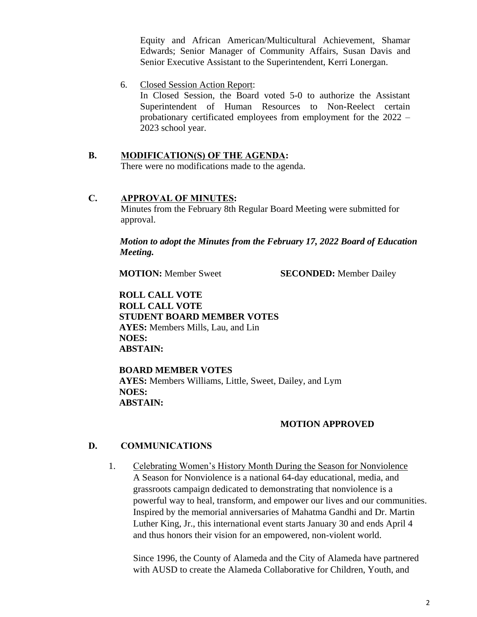Equity and African American/Multicultural Achievement, Shamar Edwards; Senior Manager of Community Affairs, Susan Davis and Senior Executive Assistant to the Superintendent, Kerri Lonergan.

6. Closed Session Action Report:

In Closed Session, the Board voted 5-0 to authorize the Assistant Superintendent of Human Resources to Non-Reelect certain probationary certificated employees from employment for the 2022 – 2023 school year.

**B. MODIFICATION(S) OF THE AGENDA:** 

There were no modifications made to the agenda.

#### **C. APPROVAL OF MINUTES:**

Minutes from the February 8th Regular Board Meeting were submitted for approval.

*Motion to adopt the Minutes from the February 17, 2022 Board of Education Meeting.*

**MOTION:** Member Sweet **SECONDED:** Member Dailey

**ROLL CALL VOTE ROLL CALL VOTE STUDENT BOARD MEMBER VOTES AYES:** Members Mills, Lau, and Lin **NOES: ABSTAIN:** 

**BOARD MEMBER VOTES AYES:** Members Williams, Little, Sweet, Dailey, and Lym **NOES: ABSTAIN:** 

## **MOTION APPROVED**

#### **D. COMMUNICATIONS**

1. Celebrating Women's History Month During the Season for Nonviolence A Season for Nonviolence is a national 64-day educational, media, and grassroots campaign dedicated to demonstrating that nonviolence is a powerful way to heal, transform, and empower our lives and our communities. Inspired by the memorial anniversaries of Mahatma Gandhi and Dr. Martin Luther King, Jr., this international event starts January 30 and ends April 4 and thus honors their vision for an empowered, non-violent world.

Since 1996, the County of Alameda and the City of Alameda have partnered with AUSD to create the Alameda Collaborative for Children, Youth, and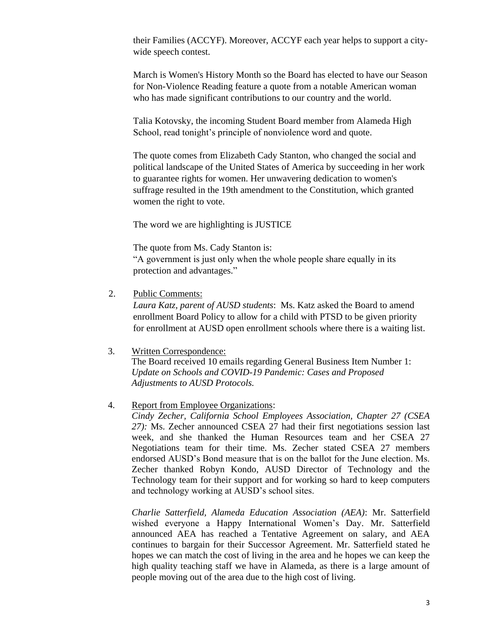their Families (ACCYF). Moreover, ACCYF each year helps to support a citywide speech contest.

March is Women's History Month so the Board has elected to have our Season for Non-Violence Reading feature a quote from a notable American woman who has made significant contributions to our country and the world.

Talia Kotovsky, the incoming Student Board member from Alameda High School, read tonight's principle of nonviolence word and quote.

The quote comes from Elizabeth Cady Stanton, who changed the social and political landscape of the United States of America by succeeding in her work to guarantee rights for women. Her unwavering dedication to women's suffrage resulted in the 19th amendment to the Constitution, which granted women the right to vote.

The word we are highlighting is JUSTICE

The quote from Ms. Cady Stanton is: "A government is just only when the whole people share equally in its protection and advantages."

2. Public Comments:

*Laura Katz, parent of AUSD students*: Ms. Katz asked the Board to amend enrollment Board Policy to allow for a child with PTSD to be given priority for enrollment at AUSD open enrollment schools where there is a waiting list.

#### 3. Written Correspondence:

The Board received 10 emails regarding General Business Item Number 1: *Update on Schools and COVID-19 Pandemic: Cases and Proposed Adjustments to AUSD Protocols.*

#### 4. Report from Employee Organizations:

*Cindy Zecher, California School Employees Association, Chapter 27 (CSEA 27):* Ms. Zecher announced CSEA 27 had their first negotiations session last week, and she thanked the Human Resources team and her CSEA 27 Negotiations team for their time. Ms. Zecher stated CSEA 27 members endorsed AUSD's Bond measure that is on the ballot for the June election. Ms. Zecher thanked Robyn Kondo, AUSD Director of Technology and the Technology team for their support and for working so hard to keep computers and technology working at AUSD's school sites.

*Charlie Satterfield, Alameda Education Association (AEA)*: Mr. Satterfield wished everyone a Happy International Women's Day. Mr. Satterfield announced AEA has reached a Tentative Agreement on salary, and AEA continues to bargain for their Successor Agreement. Mr. Satterfield stated he hopes we can match the cost of living in the area and he hopes we can keep the high quality teaching staff we have in Alameda, as there is a large amount of people moving out of the area due to the high cost of living.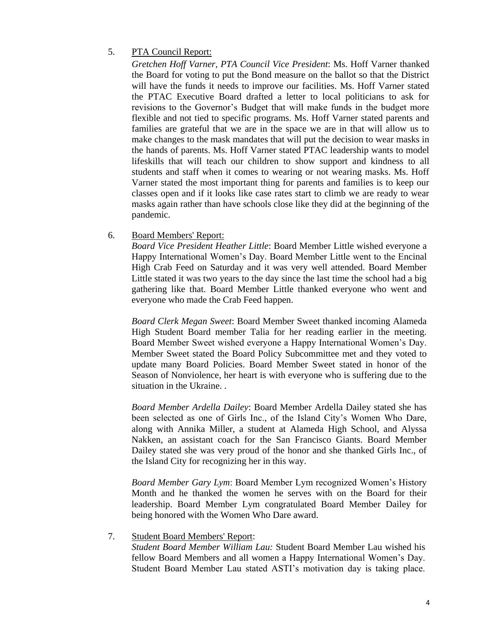# 5. PTA Council Report:

*Gretchen Hoff Varner, PTA Council Vice President*: Ms. Hoff Varner thanked the Board for voting to put the Bond measure on the ballot so that the District will have the funds it needs to improve our facilities. Ms. Hoff Varner stated the PTAC Executive Board drafted a letter to local politicians to ask for revisions to the Governor's Budget that will make funds in the budget more flexible and not tied to specific programs. Ms. Hoff Varner stated parents and families are grateful that we are in the space we are in that will allow us to make changes to the mask mandates that will put the decision to wear masks in the hands of parents. Ms. Hoff Varner stated PTAC leadership wants to model lifeskills that will teach our children to show support and kindness to all students and staff when it comes to wearing or not wearing masks. Ms. Hoff Varner stated the most important thing for parents and families is to keep our classes open and if it looks like case rates start to climb we are ready to wear masks again rather than have schools close like they did at the beginning of the pandemic.

## 6. Board Members' Report:

*Board Vice President Heather Little*: Board Member Little wished everyone a Happy International Women's Day. Board Member Little went to the Encinal High Crab Feed on Saturday and it was very well attended. Board Member Little stated it was two years to the day since the last time the school had a big gathering like that. Board Member Little thanked everyone who went and everyone who made the Crab Feed happen.

*Board Clerk Megan Sweet*: Board Member Sweet thanked incoming Alameda High Student Board member Talia for her reading earlier in the meeting. Board Member Sweet wished everyone a Happy International Women's Day. Member Sweet stated the Board Policy Subcommittee met and they voted to update many Board Policies. Board Member Sweet stated in honor of the Season of Nonviolence, her heart is with everyone who is suffering due to the situation in the Ukraine. .

*Board Member Ardella Dailey*: Board Member Ardella Dailey stated she has been selected as one of Girls Inc., of the Island City's Women Who Dare, along with Annika Miller, a student at Alameda High School, and Alyssa Nakken, an assistant coach for the San Francisco Giants. Board Member Dailey stated she was very proud of the honor and she thanked Girls Inc., of the Island City for recognizing her in this way.

*Board Member Gary Lym*: Board Member Lym recognized Women's History Month and he thanked the women he serves with on the Board for their leadership. Board Member Lym congratulated Board Member Dailey for being honored with the Women Who Dare award.

## 7. Student Board Members' Report:

*Student Board Member William Lau:* Student Board Member Lau wished his fellow Board Members and all women a Happy International Women's Day. Student Board Member Lau stated ASTI's motivation day is taking place.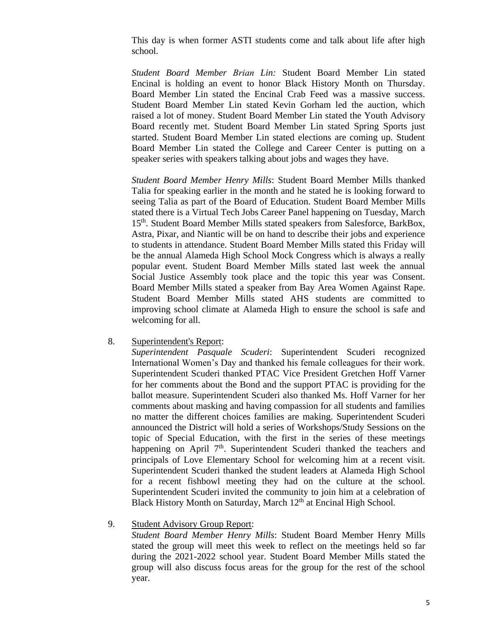This day is when former ASTI students come and talk about life after high school.

*Student Board Member Brian Lin:* Student Board Member Lin stated Encinal is holding an event to honor Black History Month on Thursday. Board Member Lin stated the Encinal Crab Feed was a massive success. Student Board Member Lin stated Kevin Gorham led the auction, which raised a lot of money. Student Board Member Lin stated the Youth Advisory Board recently met. Student Board Member Lin stated Spring Sports just started. Student Board Member Lin stated elections are coming up. Student Board Member Lin stated the College and Career Center is putting on a speaker series with speakers talking about jobs and wages they have.

*Student Board Member Henry Mills*: Student Board Member Mills thanked Talia for speaking earlier in the month and he stated he is looking forward to seeing Talia as part of the Board of Education. Student Board Member Mills stated there is a Virtual Tech Jobs Career Panel happening on Tuesday, March 15<sup>th</sup>. Student Board Member Mills stated speakers from Salesforce, BarkBox, Astra, Pixar, and Niantic will be on hand to describe their jobs and experience to students in attendance. Student Board Member Mills stated this Friday will be the annual Alameda High School Mock Congress which is always a really popular event. Student Board Member Mills stated last week the annual Social Justice Assembly took place and the topic this year was Consent. Board Member Mills stated a speaker from Bay Area Women Against Rape. Student Board Member Mills stated AHS students are committed to improving school climate at Alameda High to ensure the school is safe and welcoming for all.

8. Superintendent's Report:

*Superintendent Pasquale Scuderi*: Superintendent Scuderi recognized International Women's Day and thanked his female colleagues for their work. Superintendent Scuderi thanked PTAC Vice President Gretchen Hoff Varner for her comments about the Bond and the support PTAC is providing for the ballot measure. Superintendent Scuderi also thanked Ms. Hoff Varner for her comments about masking and having compassion for all students and families no matter the different choices families are making. Superintendent Scuderi announced the District will hold a series of Workshops/Study Sessions on the topic of Special Education, with the first in the series of these meetings happening on April  $7<sup>th</sup>$ . Superintendent Scuderi thanked the teachers and principals of Love Elementary School for welcoming him at a recent visit. Superintendent Scuderi thanked the student leaders at Alameda High School for a recent fishbowl meeting they had on the culture at the school. Superintendent Scuderi invited the community to join him at a celebration of Black History Month on Saturday, March  $12<sup>th</sup>$  at Encinal High School.

## 9. Student Advisory Group Report:

*Student Board Member Henry Mills*: Student Board Member Henry Mills stated the group will meet this week to reflect on the meetings held so far during the 2021-2022 school year. Student Board Member Mills stated the group will also discuss focus areas for the group for the rest of the school year.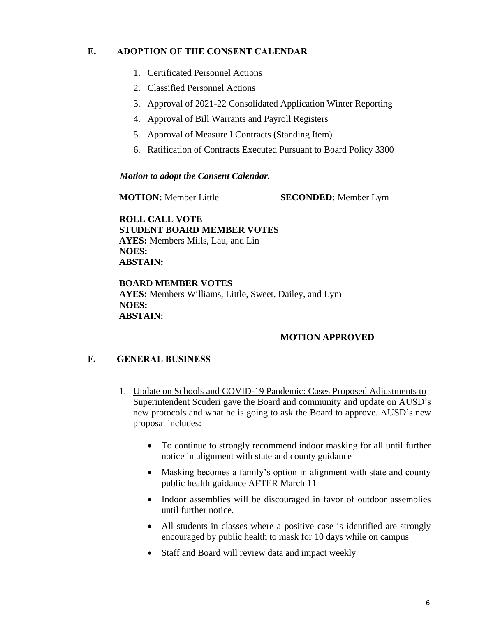# **E. ADOPTION OF THE CONSENT CALENDAR**

- 1. Certificated Personnel Actions
- 2. Classified Personnel Actions
- 3. Approval of 2021-22 Consolidated Application Winter Reporting
- 4. Approval of Bill Warrants and Payroll Registers
- 5. Approval of Measure I Contracts (Standing Item)
- 6. Ratification of Contracts Executed Pursuant to Board Policy 3300

#### *Motion to adopt the Consent Calendar.*

**MOTION:** Member Little **SECONDED:** Member Lym

**ROLL CALL VOTE STUDENT BOARD MEMBER VOTES AYES:** Members Mills, Lau, and Lin **NOES: ABSTAIN:** 

**BOARD MEMBER VOTES AYES:** Members Williams, Little, Sweet, Dailey, and Lym **NOES: ABSTAIN:** 

#### **MOTION APPROVED**

## **F. GENERAL BUSINESS**

- 1. Update on Schools and COVID-19 Pandemic: Cases Proposed Adjustments to Superintendent Scuderi gave the Board and community and update on AUSD's new protocols and what he is going to ask the Board to approve. AUSD's new proposal includes:
	- To continue to strongly recommend indoor masking for all until further notice in alignment with state and county guidance
	- Masking becomes a family's option in alignment with state and county public health guidance AFTER March 11
	- Indoor assemblies will be discouraged in favor of outdoor assemblies until further notice.
	- All students in classes where a positive case is identified are strongly encouraged by public health to mask for 10 days while on campus
	- Staff and Board will review data and impact weekly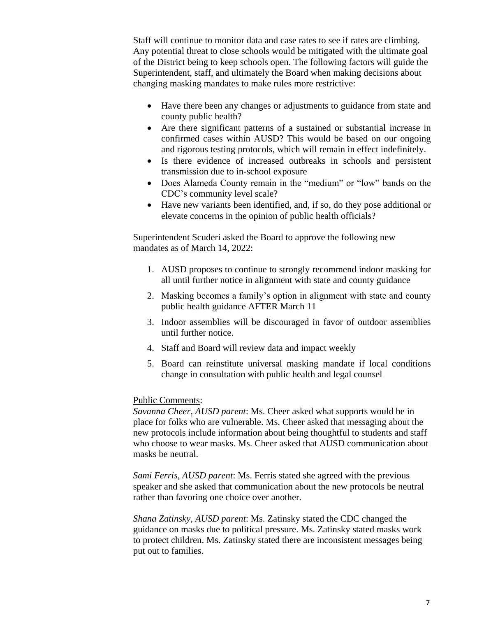Staff will continue to monitor data and case rates to see if rates are climbing. Any potential threat to close schools would be mitigated with the ultimate goal of the District being to keep schools open. The following factors will guide the Superintendent, staff, and ultimately the Board when making decisions about changing masking mandates to make rules more restrictive:

- Have there been any changes or adjustments to guidance from state and county public health?
- Are there significant patterns of a sustained or substantial increase in confirmed cases within AUSD? This would be based on our ongoing and rigorous testing protocols, which will remain in effect indefinitely.
- Is there evidence of increased outbreaks in schools and persistent transmission due to in-school exposure
- Does Alameda County remain in the "medium" or "low" bands on the CDC's community level scale?
- Have new variants been identified, and, if so, do they pose additional or elevate concerns in the opinion of public health officials?

Superintendent Scuderi asked the Board to approve the following new mandates as of March 14, 2022:

- 1. AUSD proposes to continue to strongly recommend indoor masking for all until further notice in alignment with state and county guidance
- 2. Masking becomes a family's option in alignment with state and county public health guidance AFTER March 11
- 3. Indoor assemblies will be discouraged in favor of outdoor assemblies until further notice.
- 4. Staff and Board will review data and impact weekly
- 5. Board can reinstitute universal masking mandate if local conditions change in consultation with public health and legal counsel

#### Public Comments:

*Savanna Cheer, AUSD parent*: Ms. Cheer asked what supports would be in place for folks who are vulnerable. Ms. Cheer asked that messaging about the new protocols include information about being thoughtful to students and staff who choose to wear masks. Ms. Cheer asked that AUSD communication about masks be neutral.

*Sami Ferris, AUSD parent*: Ms. Ferris stated she agreed with the previous speaker and she asked that communication about the new protocols be neutral rather than favoring one choice over another.

*Shana Zatinsky, AUSD parent*: Ms. Zatinsky stated the CDC changed the guidance on masks due to political pressure. Ms. Zatinsky stated masks work to protect children. Ms. Zatinsky stated there are inconsistent messages being put out to families.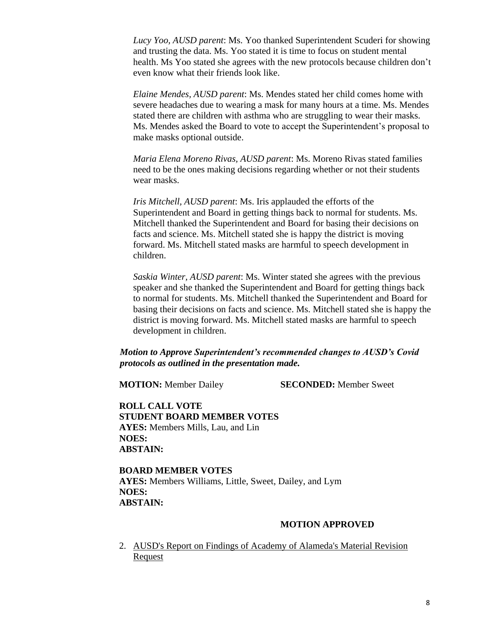*Lucy Yoo, AUSD parent*: Ms. Yoo thanked Superintendent Scuderi for showing and trusting the data. Ms. Yoo stated it is time to focus on student mental health. Ms Yoo stated she agrees with the new protocols because children don't even know what their friends look like.

*Elaine Mendes, AUSD parent*: Ms. Mendes stated her child comes home with severe headaches due to wearing a mask for many hours at a time. Ms. Mendes stated there are children with asthma who are struggling to wear their masks. Ms. Mendes asked the Board to vote to accept the Superintendent's proposal to make masks optional outside.

*Maria Elena Moreno Rivas, AUSD parent*: Ms. Moreno Rivas stated families need to be the ones making decisions regarding whether or not their students wear masks.

*Iris Mitchell, AUSD parent*: Ms. Iris applauded the efforts of the Superintendent and Board in getting things back to normal for students. Ms. Mitchell thanked the Superintendent and Board for basing their decisions on facts and science. Ms. Mitchell stated she is happy the district is moving forward. Ms. Mitchell stated masks are harmful to speech development in children.

*Saskia Winter, AUSD parent*: Ms. Winter stated she agrees with the previous speaker and she thanked the Superintendent and Board for getting things back to normal for students. Ms. Mitchell thanked the Superintendent and Board for basing their decisions on facts and science. Ms. Mitchell stated she is happy the district is moving forward. Ms. Mitchell stated masks are harmful to speech development in children.

*Motion to Approve Superintendent's recommended changes to AUSD's Covid protocols as outlined in the presentation made.*

**MOTION:** Member Dailey **SECONDED:** Member Sweet

**ROLL CALL VOTE STUDENT BOARD MEMBER VOTES AYES:** Members Mills, Lau, and Lin **NOES: ABSTAIN:** 

# **BOARD MEMBER VOTES**

**AYES:** Members Williams, Little, Sweet, Dailey, and Lym **NOES: ABSTAIN:** 

#### **MOTION APPROVED**

2. AUSD's Report on Findings of Academy of Alameda's Material Revision Request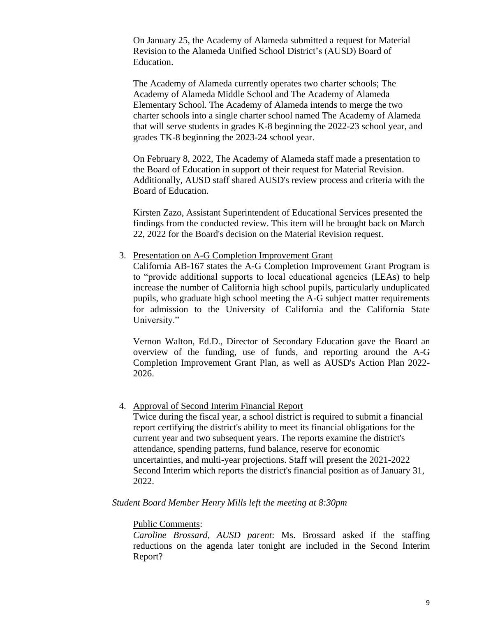On January 25, the Academy of Alameda submitted a request for Material Revision to the Alameda Unified School District's (AUSD) Board of Education.

The Academy of Alameda currently operates two charter schools; The Academy of Alameda Middle School and The Academy of Alameda Elementary School. The Academy of Alameda intends to merge the two charter schools into a single charter school named The Academy of Alameda that will serve students in grades K-8 beginning the 2022-23 school year, and grades TK-8 beginning the 2023-24 school year.

On February 8, 2022, The Academy of Alameda staff made a presentation to the Board of Education in support of their request for Material Revision. Additionally, AUSD staff shared AUSD's review process and criteria with the Board of Education.

Kirsten Zazo, Assistant Superintendent of Educational Services presented the findings from the conducted review. This item will be brought back on March 22, 2022 for the Board's decision on the Material Revision request.

3. Presentation on A-G Completion Improvement Grant

California AB-167 states the A-G Completion Improvement Grant Program is to "provide additional supports to local educational agencies (LEAs) to help increase the number of California high school pupils, particularly unduplicated pupils, who graduate high school meeting the A-G subject matter requirements for admission to the University of California and the California State University."

Vernon Walton, Ed.D., Director of Secondary Education gave the Board an overview of the funding, use of funds, and reporting around the A-G Completion Improvement Grant Plan, as well as AUSD's Action Plan 2022- 2026.

#### 4. Approval of Second Interim Financial Report

Twice during the fiscal year, a school district is required to submit a financial report certifying the district's ability to meet its financial obligations for the current year and two subsequent years. The reports examine the district's attendance, spending patterns, fund balance, reserve for economic uncertainties, and multi-year projections. Staff will present the 2021-2022 Second Interim which reports the district's financial position as of January 31, 2022.

*Student Board Member Henry Mills left the meeting at 8:30pm*

#### Public Comments:

*Caroline Brossard, AUSD parent*: Ms. Brossard asked if the staffing reductions on the agenda later tonight are included in the Second Interim Report?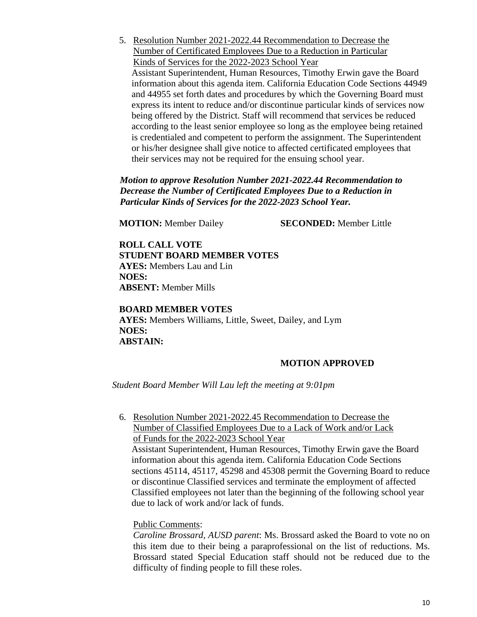5. Resolution Number 2021-2022.44 Recommendation to Decrease the Number of Certificated Employees Due to a Reduction in Particular Kinds of Services for the 2022-2023 School Year Assistant Superintendent, Human Resources, Timothy Erwin gave the Board information about this agenda item. California Education Code Sections 44949 and 44955 set forth dates and procedures by which the Governing Board must express its intent to reduce and/or discontinue particular kinds of services now being offered by the District. Staff will recommend that services be reduced according to the least senior employee so long as the employee being retained is credentialed and competent to perform the assignment. The Superintendent or his/her designee shall give notice to affected certificated employees that their services may not be required for the ensuing school year.

*Motion to approve Resolution Number 2021-2022.44 Recommendation to Decrease the Number of Certificated Employees Due to a Reduction in Particular Kinds of Services for the 2022-2023 School Year.*

**MOTION:** Member Dailey **SECONDED:** Member Little

**ROLL CALL VOTE STUDENT BOARD MEMBER VOTES AYES:** Members Lau and Lin **NOES: ABSENT:** Member Mills

#### **BOARD MEMBER VOTES**

**AYES:** Members Williams, Little, Sweet, Dailey, and Lym **NOES: ABSTAIN:** 

#### **MOTION APPROVED**

*Student Board Member Will Lau left the meeting at 9:01pm*

6. Resolution Number 2021-2022.45 Recommendation to Decrease the Number of Classified Employees Due to a Lack of Work and/or Lack of Funds for the 2022-2023 School Year Assistant Superintendent, Human Resources, Timothy Erwin gave the Board information about this agenda item. California Education Code Sections sections 45114, 45117, 45298 and 45308 permit the Governing Board to reduce or discontinue Classified services and terminate the employment of affected Classified employees not later than the beginning of the following school year due to lack of work and/or lack of funds.

#### Public Comments:

*Caroline Brossard, AUSD parent*: Ms. Brossard asked the Board to vote no on this item due to their being a paraprofessional on the list of reductions. Ms. Brossard stated Special Education staff should not be reduced due to the difficulty of finding people to fill these roles.